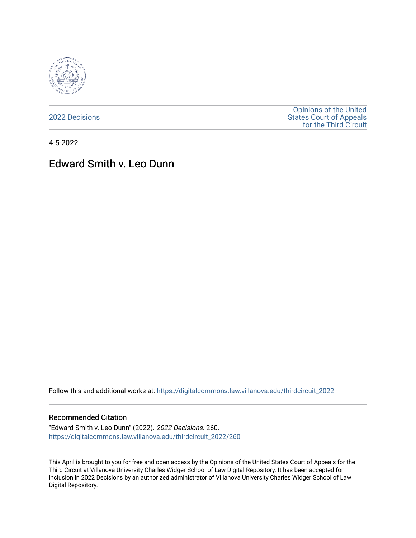

[2022 Decisions](https://digitalcommons.law.villanova.edu/thirdcircuit_2022)

[Opinions of the United](https://digitalcommons.law.villanova.edu/thirdcircuit)  [States Court of Appeals](https://digitalcommons.law.villanova.edu/thirdcircuit)  [for the Third Circuit](https://digitalcommons.law.villanova.edu/thirdcircuit) 

4-5-2022

# Edward Smith v. Leo Dunn

Follow this and additional works at: [https://digitalcommons.law.villanova.edu/thirdcircuit\\_2022](https://digitalcommons.law.villanova.edu/thirdcircuit_2022?utm_source=digitalcommons.law.villanova.edu%2Fthirdcircuit_2022%2F260&utm_medium=PDF&utm_campaign=PDFCoverPages) 

#### Recommended Citation

"Edward Smith v. Leo Dunn" (2022). 2022 Decisions. 260. [https://digitalcommons.law.villanova.edu/thirdcircuit\\_2022/260](https://digitalcommons.law.villanova.edu/thirdcircuit_2022/260?utm_source=digitalcommons.law.villanova.edu%2Fthirdcircuit_2022%2F260&utm_medium=PDF&utm_campaign=PDFCoverPages)

This April is brought to you for free and open access by the Opinions of the United States Court of Appeals for the Third Circuit at Villanova University Charles Widger School of Law Digital Repository. It has been accepted for inclusion in 2022 Decisions by an authorized administrator of Villanova University Charles Widger School of Law Digital Repository.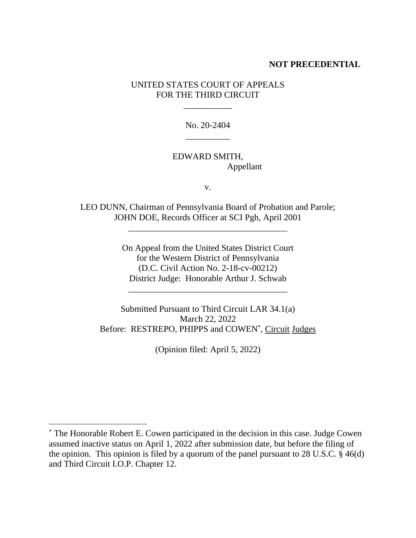### **NOT PRECEDENTIAL**

# UNITED STATES COURT OF APPEALS FOR THE THIRD CIRCUIT

\_\_\_\_\_\_\_\_\_\_\_

No. 20-2404 \_\_\_\_\_\_\_\_\_\_

### EDWARD SMITH, Appellant

v.

LEO DUNN, Chairman of Pennsylvania Board of Probation and Parole; JOHN DOE, Records Officer at SCI Pgh, April 2001

\_\_\_\_\_\_\_\_\_\_\_\_\_\_\_\_\_\_\_\_\_\_\_\_\_\_\_\_\_\_\_\_\_\_\_\_

On Appeal from the United States District Court for the Western District of Pennsylvania (D.C. Civil Action No. 2-18-cv-00212) District Judge: Honorable Arthur J. Schwab

\_\_\_\_\_\_\_\_\_\_\_\_\_\_\_\_\_\_\_\_\_\_\_\_\_\_\_\_\_\_\_\_\_\_\_\_

Submitted Pursuant to Third Circuit LAR 34.1(a) March 22, 2022 Before: RESTREPO, PHIPPS and COWEN<sup>\*</sup>, Circuit Judges

(Opinion filed: April 5, 2022)

<sup>\*</sup> The Honorable Robert E. Cowen participated in the decision in this case. Judge Cowen assumed inactive status on April 1, 2022 after submission date, but before the filing of the opinion. This opinion is filed by a quorum of the panel pursuant to 28 U.S.C. § 46(d) and Third Circuit I.O.P. Chapter 12.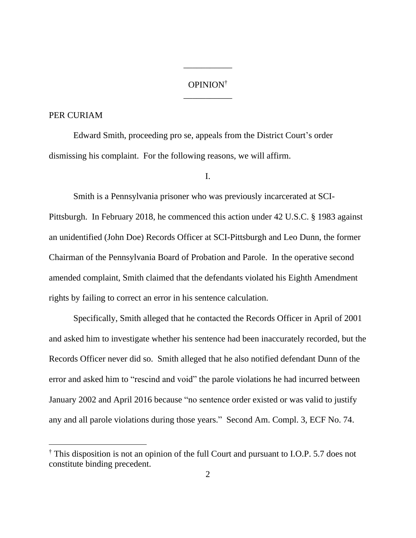# OPINION† \_\_\_\_\_\_\_\_\_\_\_

\_\_\_\_\_\_\_\_\_\_\_

#### PER CURIAM

Edward Smith, proceeding pro se, appeals from the District Court's order dismissing his complaint. For the following reasons, we will affirm.

I.

Smith is a Pennsylvania prisoner who was previously incarcerated at SCI-Pittsburgh. In February 2018, he commenced this action under 42 U.S.C. § 1983 against an unidentified (John Doe) Records Officer at SCI-Pittsburgh and Leo Dunn, the former Chairman of the Pennsylvania Board of Probation and Parole. In the operative second amended complaint, Smith claimed that the defendants violated his Eighth Amendment rights by failing to correct an error in his sentence calculation.

Specifically, Smith alleged that he contacted the Records Officer in April of 2001 and asked him to investigate whether his sentence had been inaccurately recorded, but the Records Officer never did so. Smith alleged that he also notified defendant Dunn of the error and asked him to "rescind and void" the parole violations he had incurred between January 2002 and April 2016 because "no sentence order existed or was valid to justify any and all parole violations during those years." Second Am. Compl. 3, ECF No. 74.

<sup>†</sup> This disposition is not an opinion of the full Court and pursuant to I.O.P. 5.7 does not constitute binding precedent.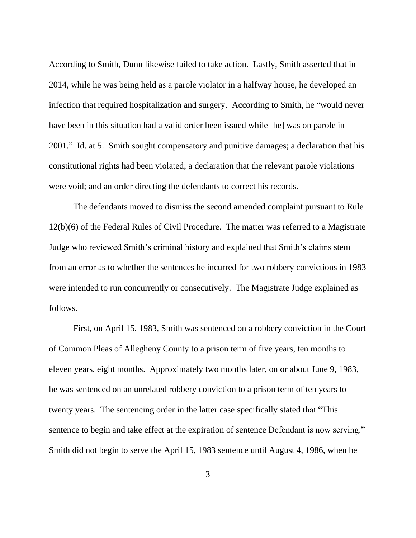According to Smith, Dunn likewise failed to take action. Lastly, Smith asserted that in 2014, while he was being held as a parole violator in a halfway house, he developed an infection that required hospitalization and surgery. According to Smith, he "would never have been in this situation had a valid order been issued while [he] was on parole in 2001." Id. at 5. Smith sought compensatory and punitive damages; a declaration that his constitutional rights had been violated; a declaration that the relevant parole violations were void; and an order directing the defendants to correct his records.

The defendants moved to dismiss the second amended complaint pursuant to Rule 12(b)(6) of the Federal Rules of Civil Procedure. The matter was referred to a Magistrate Judge who reviewed Smith's criminal history and explained that Smith's claims stem from an error as to whether the sentences he incurred for two robbery convictions in 1983 were intended to run concurrently or consecutively. The Magistrate Judge explained as follows.

First, on April 15, 1983, Smith was sentenced on a robbery conviction in the Court of Common Pleas of Allegheny County to a prison term of five years, ten months to eleven years, eight months. Approximately two months later, on or about June 9, 1983, he was sentenced on an unrelated robbery conviction to a prison term of ten years to twenty years. The sentencing order in the latter case specifically stated that "This sentence to begin and take effect at the expiration of sentence Defendant is now serving." Smith did not begin to serve the April 15, 1983 sentence until August 4, 1986, when he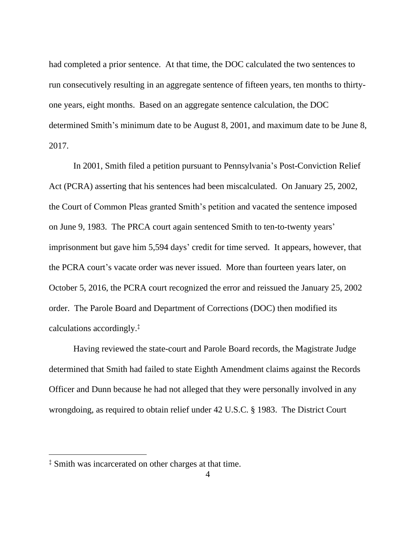had completed a prior sentence. At that time, the DOC calculated the two sentences to run consecutively resulting in an aggregate sentence of fifteen years, ten months to thirtyone years, eight months. Based on an aggregate sentence calculation, the DOC determined Smith's minimum date to be August 8, 2001, and maximum date to be June 8, 2017.

In 2001, Smith filed a petition pursuant to Pennsylvania's Post-Conviction Relief Act (PCRA) asserting that his sentences had been miscalculated. On January 25, 2002, the Court of Common Pleas granted Smith's petition and vacated the sentence imposed on June 9, 1983. The PRCA court again sentenced Smith to ten-to-twenty years' imprisonment but gave him 5,594 days' credit for time served. It appears, however, that the PCRA court's vacate order was never issued. More than fourteen years later, on October 5, 2016, the PCRA court recognized the error and reissued the January 25, 2002 order. The Parole Board and Department of Corrections (DOC) then modified its calculations accordingly.‡

Having reviewed the state-court and Parole Board records, the Magistrate Judge determined that Smith had failed to state Eighth Amendment claims against the Records Officer and Dunn because he had not alleged that they were personally involved in any wrongdoing, as required to obtain relief under 42 U.S.C. § 1983. The District Court

<sup>‡</sup> Smith was incarcerated on other charges at that time.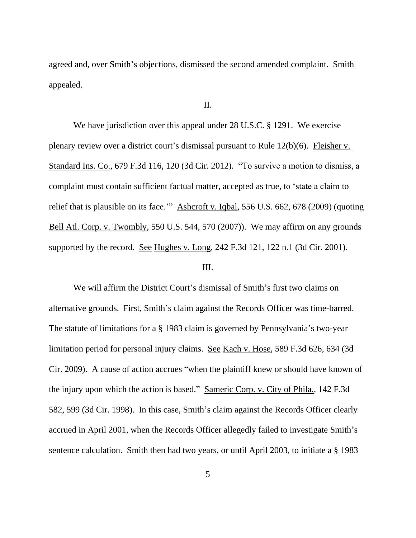agreed and, over Smith's objections, dismissed the second amended complaint. Smith appealed.

### II.

We have jurisdiction over this appeal under 28 U.S.C. § 1291. We exercise plenary review over a district court's dismissal pursuant to Rule 12(b)(6). Fleisher v. Standard Ins. Co., 679 F.3d 116, 120 (3d Cir. 2012). "To survive a motion to dismiss, a complaint must contain sufficient factual matter, accepted as true, to 'state a claim to relief that is plausible on its face.'" Ashcroft v. Iqbal, 556 U.S. 662, 678 (2009) (quoting Bell Atl. Corp. v. Twombly, 550 U.S. 544, 570 (2007)). We may affirm on any grounds supported by the record. See Hughes v. Long, 242 F.3d 121, 122 n.1 (3d Cir. 2001).

#### III.

We will affirm the District Court's dismissal of Smith's first two claims on alternative grounds. First, Smith's claim against the Records Officer was time-barred. The statute of limitations for a § 1983 claim is governed by Pennsylvania's two-year limitation period for personal injury claims. See Kach v. Hose, 589 F.3d 626, 634 (3d Cir. 2009). A cause of action accrues "when the plaintiff knew or should have known of the injury upon which the action is based." Sameric Corp. v. City of Phila., 142 F.3d 582, 599 (3d Cir. 1998). In this case, Smith's claim against the Records Officer clearly accrued in April 2001, when the Records Officer allegedly failed to investigate Smith's sentence calculation. Smith then had two years, or until April 2003, to initiate a § 1983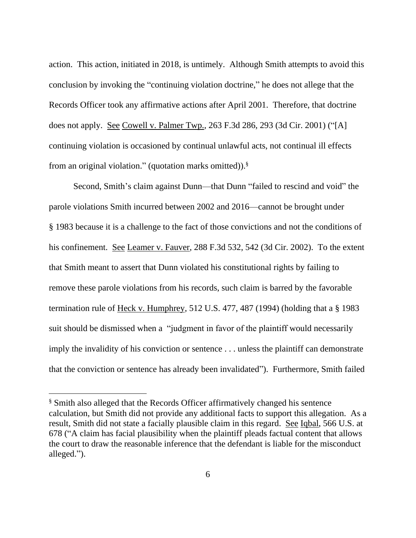action. This action, initiated in 2018, is untimely. Although Smith attempts to avoid this conclusion by invoking the "continuing violation doctrine," he does not allege that the Records Officer took any affirmative actions after April 2001. Therefore, that doctrine does not apply. See Cowell v. Palmer Twp., 263 F.3d 286, 293 (3d Cir. 2001) ("[A] continuing violation is occasioned by continual unlawful acts, not continual ill effects from an original violation." (quotation marks omitted)). §

Second, Smith's claim against Dunn—that Dunn "failed to rescind and void" the parole violations Smith incurred between 2002 and 2016—cannot be brought under § 1983 because it is a challenge to the fact of those convictions and not the conditions of his confinement. See Leamer v. Fauver, 288 F.3d 532, 542 (3d Cir. 2002). To the extent that Smith meant to assert that Dunn violated his constitutional rights by failing to remove these parole violations from his records, such claim is barred by the favorable termination rule of Heck v. Humphrey, 512 U.S. 477, 487 (1994) (holding that a § 1983 suit should be dismissed when a "judgment in favor of the plaintiff would necessarily imply the invalidity of his conviction or sentence . . . unless the plaintiff can demonstrate that the conviction or sentence has already been invalidated"). Furthermore, Smith failed

<sup>§</sup> Smith also alleged that the Records Officer affirmatively changed his sentence calculation, but Smith did not provide any additional facts to support this allegation. As a result, Smith did not state a facially plausible claim in this regard. See Iqbal, 566 U.S. at 678 ("A claim has facial plausibility when the plaintiff pleads factual content that allows the court to draw the reasonable inference that the defendant is liable for the misconduct alleged.").